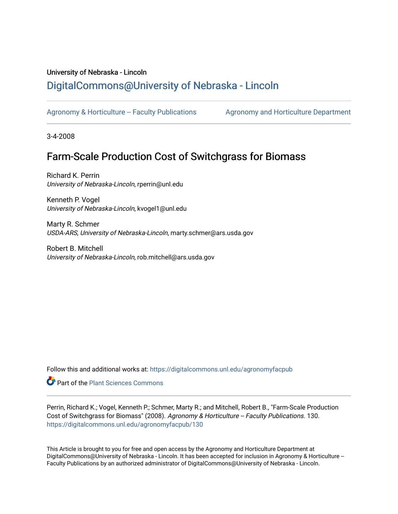## University of Nebraska - Lincoln [DigitalCommons@University of Nebraska - Lincoln](https://digitalcommons.unl.edu/)

[Agronomy & Horticulture -- Faculty Publications](https://digitalcommons.unl.edu/agronomyfacpub) Agronomy and Horticulture Department

3-4-2008

# Farm-Scale Production Cost of Switchgrass for Biomass

Richard K. Perrin University of Nebraska-Lincoln, rperrin@unl.edu

Kenneth P. Vogel University of Nebraska-Lincoln, kvogel1@unl.edu

Marty R. Schmer USDA-ARS, University of Nebraska-Lincoln, marty.schmer@ars.usda.gov

Robert B. Mitchell University of Nebraska-Lincoln, rob.mitchell@ars.usda.gov

Follow this and additional works at: [https://digitalcommons.unl.edu/agronomyfacpub](https://digitalcommons.unl.edu/agronomyfacpub?utm_source=digitalcommons.unl.edu%2Fagronomyfacpub%2F130&utm_medium=PDF&utm_campaign=PDFCoverPages)

**C** Part of the [Plant Sciences Commons](http://network.bepress.com/hgg/discipline/102?utm_source=digitalcommons.unl.edu%2Fagronomyfacpub%2F130&utm_medium=PDF&utm_campaign=PDFCoverPages)

Perrin, Richard K.; Vogel, Kenneth P.; Schmer, Marty R.; and Mitchell, Robert B., "Farm-Scale Production Cost of Switchgrass for Biomass" (2008). Agronomy & Horticulture -- Faculty Publications. 130. [https://digitalcommons.unl.edu/agronomyfacpub/130](https://digitalcommons.unl.edu/agronomyfacpub/130?utm_source=digitalcommons.unl.edu%2Fagronomyfacpub%2F130&utm_medium=PDF&utm_campaign=PDFCoverPages)

This Article is brought to you for free and open access by the Agronomy and Horticulture Department at DigitalCommons@University of Nebraska - Lincoln. It has been accepted for inclusion in Agronomy & Horticulture --Faculty Publications by an authorized administrator of DigitalCommons@University of Nebraska - Lincoln.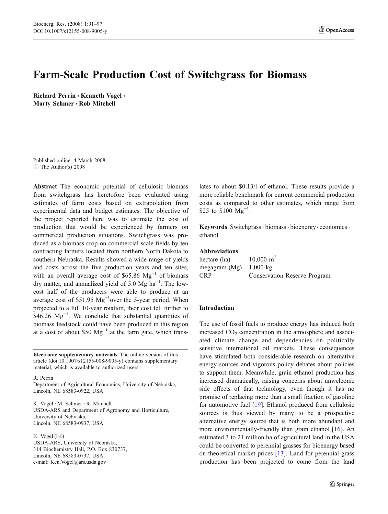## Farm-Scale Production Cost of Switchgrass for Biomass

Richard Perrin • Kenneth Vogel • Marty Schmer · Rob Mitchell

Published online: 4 March 2008  $\circ$  The Author(s) 2008

Abstract The economic potential of cellulosic biomass from switchgrass has heretofore been evaluated using estimates of farm costs based on extrapolation from experimental data and budget estimates. The objective of the project reported here was to estimate the cost of production that would be experienced by farmers on commercial production situations. Switchgrass was produced as a biomass crop on commercial-scale fields by ten contracting farmers located from northern North Dakota to southern Nebraska. Results showed a wide range of yields and costs across the five production years and ten sites, with an overall average cost of \$65.86  $Mg^{-1}$  of biomass dry matter, and annualized yield of 5.0 Mg ha−<sup>1</sup> . The lowcost half of the producers were able to produce at an average cost of \$51.95  $Mg^{-1}$ over the 5-year period. When projected to a full 10-year rotation, their cost fell further to  $$46.26 \text{ Mg}^{-1}$ . We conclude that substantial quantities of biomass feedstock could have been produced in this region at a cost of about \$50  $Mg^{-1}$  at the farm gate, which trans-

Electronic supplementary materials The online version of this article (doi[:10.1007/s12155-008-9005-y\)](http://dx.doi.org/10.1007/s12155-008-9005-y) contains supplementary material, which is available to authorized users.

R. Perrin

Department of Agricultural Economics, University of Nebraska, Lincoln, NE 68583-0922, USA

K. Vogel : M. Schmer : R. Mitchell USDA-ARS and Department of Agronomy and Horticulture, University of Nebraska, Lincoln, NE 68583-0937, USA

K. Vogel  $(\boxtimes)$ USDA-ARS, University of Nebraska, 314 Biochemistry Hall, P.O. Box 830737, Lincoln, NE 68583-0737, USA e-mail: Ken.Vogel@ars.usda.gov

lates to about \$0.13/l of ethanol. These results provide a more reliable benchmark for current commercial production costs as compared to other estimates, which range from \$25 to \$100 Mg<sup>-1</sup>.

Keywords Switchgrass · biomass · bioenergy · economics · ethanol

#### Abbreviations

| hectare (ha)  | $10,000 \text{ m}^2$         |
|---------------|------------------------------|
| megagram (Mg) | $1,000 \; \text{kg}$         |
| <b>CRP</b>    | Conservation Reserve Program |

#### Introduction

The use of fossil fuels to produce energy has induced both increased  $CO<sub>2</sub>$  concentration in the atmosphere and associated climate change and dependencies on politically sensitive international oil markets. These consequences have stimulated both considerable research on alternative energy sources and vigorous policy debates about policies to support them. Meanwhile, grain ethanol production has increased dramatically, raising concerns about unwelcome side effects of that technology, even though it has no promise of replacing more than a small fraction of gasoline for automotive fuel [[19\]](#page-7-0). Ethanol produced from cellulosic sources is thus viewed by many to be a prospective alternative energy source that is both more abundant and more environmentally-friendly than grain ethanol [[16\]](#page-7-0). An estimated 3 to 21 million ha of agricultural land in the USA could be converted to perennial grasses for bioenergy based on theoretical market prices [[13\]](#page-7-0). Land for perennial grass production has been projected to come from the land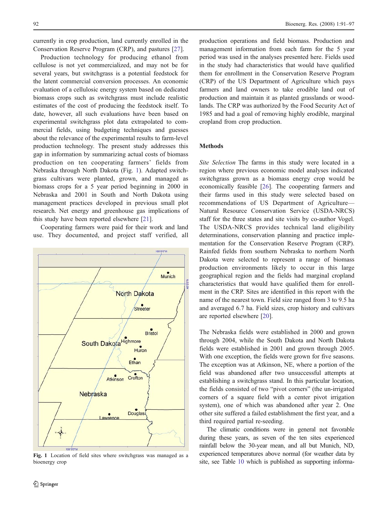currently in crop production, land currently enrolled in the Conservation Reserve Program (CRP), and pastures [\[27](#page-7-0)].

Production technology for producing ethanol from cellulose is not yet commercialized, and may not be for several years, but switchgrass is a potential feedstock for the latent commercial conversion processes. An economic evaluation of a cellulosic energy system based on dedicated biomass crops such as switchgrass must include realistic estimates of the cost of producing the feedstock itself. To date, however, all such evaluations have been based on experimental switchgrass plot data extrapolated to commercial fields, using budgeting techniques and guesses about the relevance of the experimental results to farm-level production technology. The present study addresses this gap in information by summarizing actual costs of biomass production on ten cooperating farmers' fields from Nebraska through North Dakota (Fig. 1). Adapted switchgrass cultivars were planted, grown, and managed as biomass crops for a 5 year period beginning in 2000 in Nebraska and 2001 in South and North Dakota using management practices developed in previous small plot research. Net energy and greenhouse gas implications of this study have been reported elsewhere [\[21](#page-7-0)].

Cooperating farmers were paid for their work and land use. They documented, and project staff verified, all



Fig. 1 Location of field sites where switchgrass was managed as a bioenergy crop

production operations and field biomass. Production and management information from each farm for the 5 year period was used in the analyses presented here. Fields used in the study had characteristics that would have qualified them for enrollment in the Conservation Reserve Program (CRP) of the US Department of Agriculture which pays farmers and land owners to take erodible land out of production and maintain it as planted grasslands or woodlands. The CRP was authorized by the Food Security Act of 1985 and had a goal of removing highly erodible, marginal cropland from crop production.

#### Methods

Site Selection The farms in this study were located in a region where previous economic model analyses indicated switchgrass grown as a biomass energy crop would be economically feasible [[26\]](#page-7-0). The cooperating farmers and their farms used in this study were selected based on recommendations of US Department of Agriculture— Natural Resource Conservation Service (USDA-NRCS) staff for the three states and site visits by co-author Vogel. The USDA-NRCS provides technical land eligibility determinations, conservation planning and practice implementation for the Conservation Reserve Program (CRP). Rainfed fields from southern Nebraska to northern North Dakota were selected to represent a range of biomass production environments likely to occur in this large geographical region and the fields had marginal cropland characteristics that would have qualified them for enrollment in the CRP. Sites are identified in this report with the name of the nearest town. Field size ranged from 3 to 9.5 ha and averaged 6.7 ha. Field sizes, crop history and cultivars are reported elsewhere [\[20](#page-7-0)].

The Nebraska fields were established in 2000 and grown through 2004, while the South Dakota and North Dakota fields were established in 2001 and grown through 2005. With one exception, the fields were grown for five seasons. The exception was at Atkinson, NE, where a portion of the field was abandoned after two unsuccessful attempts at establishing a switchgrass stand. In this particular location, the fields consisted of two "pivot corners" (the un-irrigated corners of a square field with a center pivot irrigation system), one of which was abandoned after year 2. One other site suffered a failed establishment the first year, and a third required partial re-seeding.

The climatic conditions were in general not favorable during these years, as seven of the ten sites experienced rainfall below the 30-year mean, and all but Munich, ND, experienced temperatures above normal (for weather data by site, see Table 10 which is published as supporting informa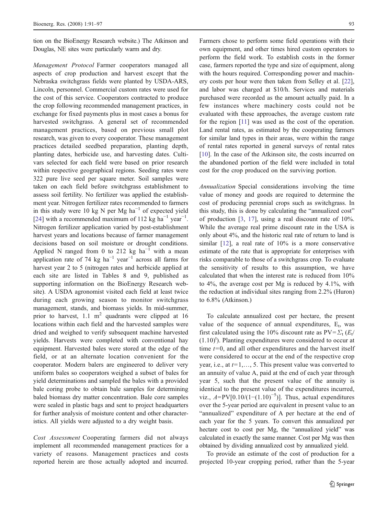tion on the BioEnergy Research website.) The Atkinson and Douglas, NE sites were particularly warm and dry.

Management Protocol Farmer cooperators managed all aspects of crop production and harvest except that the Nebraska switchgrass fields were planted by USDA-ARS, Lincoln, personnel. Commercial custom rates were used for the cost of this service. Cooperators contracted to produce the crop following recommended management practices, in exchange for fixed payments plus in most cases a bonus for harvested switchgrass. A general set of recommended management practices, based on previous small plot research, was given to every cooperator. These management practices detailed seedbed preparation, planting depth, planting dates, herbicide use, and harvesting dates. Cultivars selected for each field were based on prior research within respective geographical regions. Seeding rates were 322 pure live seed per square meter. Soil samples were taken on each field before switchgrass establishment to assess soil fertility. No fertilizer was applied the establishment year. Nitrogen fertilizer rates recommended to farmers in this study were 10 kg N per Mg ha<sup> $-1$ </sup> of expected yield [\[24](#page-7-0)] with a recommended maximum of 112 kg ha<sup>-1</sup> year<sup>-1</sup>. Nitrogen fertilizer application varied by post-establishment harvest years and locations because of farmer management decisions based on soil moisture or drought conditions. Applied N ranged from 0 to 212 kg ha<sup>-1</sup> with a mean application rate of 74 kg ha<sup>-1</sup> year<sup>-1</sup> across all farms for harvest year 2 to 5 (nitrogen rates and herbicide applied at each site are listed in Tables 8 and 9, published as supporting information on the BioEnergy Research website). A USDA agronomist visited each field at least twice during each growing season to monitor switchgrass management, stands, and biomass yields. In mid-summer, prior to harvest, 1.1  $m^2$  quadrants were clipped at 16 locations within each field and the harvested samples were dried and weighed to verify subsequent machine harvested yields. Harvests were completed with conventional hay equipment. Harvested bales were stored at the edge of the field, or at an alternate location convenient for the cooperator. Modern balers are engineered to deliver very uniform bales so cooperators weighed a subset of bales for yield determinations and sampled the bales with a provided bale coring probe to obtain bale samples for determining baled biomass dry matter concentration. Bale core samples were sealed in plastic bags and sent to project headquarters for further analysis of moisture content and other characteristics. All yields were adjusted to a dry weight basis.

Cost Assessment Cooperating farmers did not always implement all recommended management practices for a variety of reasons. Management practices and costs reported herein are those actually adopted and incurred.

Farmers chose to perform some field operations with their own equipment, and other times hired custom operators to perform the field work. To establish costs in the former case, farmers reported the type and size of equipment, along with the hours required. Corresponding power and machinery costs per hour were then taken from Selley et al. [[22\]](#page-7-0), and labor was charged at \$10/h. Services and materials purchased were recorded as the amount actually paid. In a few instances where machinery costs could not be evaluated with these approaches, the average custom rate for the region [[11\]](#page-7-0) was used as the cost of the operation. Land rental rates, as estimated by the cooperating farmers for similar land types in their areas, were within the range of rental rates reported in general surveys of rental rates [\[10](#page-7-0)]. In the case of the Atkinson site, the costs incurred on the abandoned portion of the field were included in total cost for the crop produced on the surviving portion.

Annualization Special considerations involving the time value of money and goods are required to determine the cost of producing perennial crops such as switchgrass. In this study, this is done by calculating the "annualized cost" of production [\[3](#page-7-0), [17\]](#page-7-0), using a real discount rate of 10%. While the average real prime discount rate in the USA is only about 4%, and the historic real rate of return to land is similar [[12\]](#page-7-0), a real rate of 10% is a more conservative estimate of the rate that is appropriate for enterprises with risks comparable to those of a switchgrass crop. To evaluate the sensitivity of results to this assumption, we have calculated that when the interest rate is reduced from 10% to 4%, the average cost per Mg is reduced by 4.1%, with the reduction at individual sites ranging from 2.2% (Huron) to 6.8% (Atkinson.)

To calculate annualized cost per hectare, the present value of the sequence of annual expenditures,  $E_t$ , was first calculated using the 10% discount rate as  $PV = \sum_{t} (E_t / E_t)$  $(1.10)<sup>t</sup>$ ). Planting expenditures were considered to occur at time  $t=0$ , and all other expenditures and the harvest itself were considered to occur at the end of the respective crop year, i.e., at  $t=1,\ldots, 5$ . This present value was converted to an annuity of value A, paid at the end of each year through year 5, such that the present value of the annuity is identical to the present value of the expenditures incurred, viz.,  $A=PV[0.10/(1-(1.10)^{-5})]$ . Thus, actual expenditures over the 5-year period are equivalent in present value to an "annualized" expenditure of A per hectare at the end of each year for the 5 years. To convert this annualized per hectare cost to cost per Mg, the "annualized yield" was calculated in exactly the same manner. Cost per Mg was then obtained by dividing annualized cost by annualized yield.

To provide an estimate of the cost of production for a projected 10-year cropping period, rather than the 5-year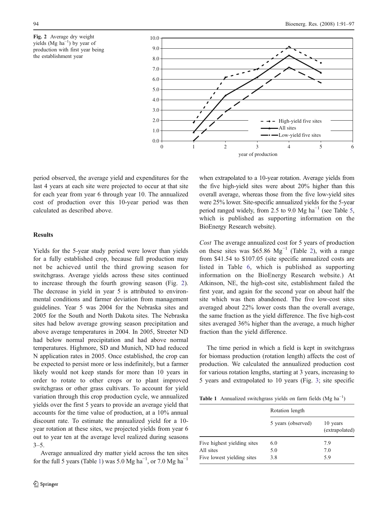



period observed, the average yield and expenditures for the last 4 years at each site were projected to occur at that site for each year from year 6 through year 10. The annualized cost of production over this 10-year period was then calculated as described above.

#### **Results**

Yields for the 5-year study period were lower than yields for a fully established crop, because full production may not be achieved until the third growing season for switchgrass. Average yields across these sites continued to increase through the fourth growing season (Fig. 2). The decrease in yield in year 5 is attributed to environmental conditions and farmer deviation from management guidelines. Year 5 was 2004 for the Nebraska sites and 2005 for the South and North Dakota sites. The Nebraska sites had below average growing season precipitation and above average temperatures in 2004. In 2005, Streeter ND had below normal precipitation and had above normal temperatures. Highmore, SD and Munich, ND had reduced N application rates in 2005. Once established, the crop can be expected to persist more or less indefinitely, but a farmer likely would not keep stands for more than 10 years in order to rotate to other crops or to plant improved switchgrass or other grass cultivars. To account for yield variation through this crop production cycle, we annualized yields over the first 5 years to provide an average yield that accounts for the time value of production, at a 10% annual discount rate. To estimate the annualized yield for a 10 year rotation at these sites, we projected yields from year 6 out to year ten at the average level realized during seasons  $3 - 5$ .

Average annualized dry matter yield across the ten sites for the full 5 years (Table 1) was 5.0 Mg ha<sup>-1</sup>, or 7.0 Mg ha<sup>-1</sup> when extrapolated to a 10-year rotation. Average yields from the five high-yield sites were about 20% higher than this overall average, whereas those from the five low-yield sites were 25% lower. Site-specific annualized yields for the 5-year period ranged widely, from 2.5 to 9.0 Mg ha<sup> $-1$ </sup> (see Table 5, which is published as supporting information on the BioEnergy Research website).

Cost The average annualized cost for 5 years of production on these sites was \$65.86  $Mg^{-1}$  (Table [2\)](#page-5-0), with a range from \$41.54 to \$107.05 (site specific annualized costs are listed in Table 6, which is published as supporting information on the BioEnergy Research website.) At Atkinson, NE, the high-cost site, establishment failed the first year, and again for the second year on about half the site which was then abandoned. The five low-cost sites averaged about 22% lower costs than the overall average, the same fraction as the yield difference. The five high-cost sites averaged 36% higher than the average, a much higher fraction than the yield difference.

The time period in which a field is kept in switchgrass for biomass production (rotation length) affects the cost of production. We calculated the annualized production cost for various rotation lengths, starting at 3 years, increasing to 5 years and extrapolated to 10 years (Fig. [3](#page-5-0); site specific

Table 1 Annualized switchgrass yields on farm fields  $(Mg ha^{-1})$ 

|                             | Rotation length    |                            |  |
|-----------------------------|--------------------|----------------------------|--|
|                             | 5 years (observed) | 10 years<br>(extrapolated) |  |
| Five highest yielding sites | 6.0                | 7.9                        |  |
| All sites                   | 5.0                | 7.0                        |  |
| Five lowest yielding sites  | 3.8                | 5.9                        |  |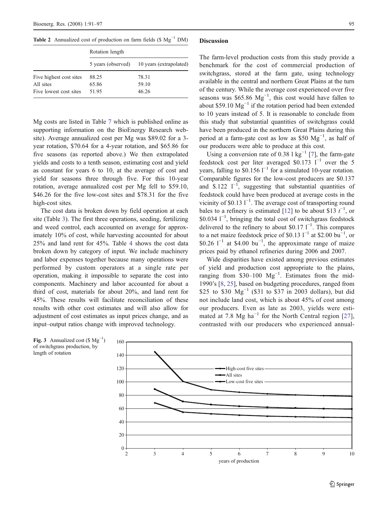<span id="page-5-0"></span>Table 2 Annualized cost of production on farm fields ( $$ Mg<sup>-1</sup> DM$ )

|                         | Rotation length |                                            |  |  |  |
|-------------------------|-----------------|--------------------------------------------|--|--|--|
|                         |                 | 5 years (observed) 10 years (extrapolated) |  |  |  |
| Five highest cost sites | 88.25           | 78.31                                      |  |  |  |
| Five lowest cost sites  | 51.95           | 46.26                                      |  |  |  |
| All sites               | 65.86           | 59.10                                      |  |  |  |

Mg costs are listed in Table 7 which is published online as supporting information on the BioEnergy Research website). Average annualized cost per Mg was \$89.02 for a 3 year rotation, \$70.64 for a 4-year rotation, and \$65.86 for five seasons (as reported above.) We then extrapolated yields and costs to a tenth season, estimating cost and yield as constant for years 6 to 10, at the average of cost and yield for seasons three through five. For this 10-year rotation, average annualized cost per Mg fell to \$59.10, \$46.26 for the five low-cost sites and \$78.31 for the five high-cost sites.

The cost data is broken down by field operation at each site (Table [3](#page-6-0)). The first three operations, seeding, fertilizing and weed control, each accounted on average for approximately 10% of cost, while harvesting accounted for about 25% and land rent for 45%. Table [4](#page-6-0) shows the cost data broken down by category of input. We include machinery and labor expenses together because many operations were performed by custom operators at a single rate per operation, making it impossible to separate the cost into components. Machinery and labor accounted for about a third of cost, materials for about 20%, and land rent for 45%. These results will facilitate reconciliation of these results with other cost estimates and will also allow for adjustment of cost estimates as input prices change, and as input–output ratios change with improved technology.

#### **Discussion**

The farm-level production costs from this study provide a benchmark for the cost of commercial production of switchgrass, stored at the farm gate, using technology available in the central and northern Great Plains at the turn of the century. While the average cost experienced over five seasons was \$65.86  $Mg^{-1}$ , this cost would have fallen to about \$59.10  $Mg^{-1}$  if the rotation period had been extended to 10 years instead of 5. It is reasonable to conclude from this study that substantial quantities of switchgrass could have been produced in the northern Great Plains during this period at a farm-gate cost as low as \$50 Mg<sup>-1</sup>, as half of our producers were able to produce at this cost.

Using a conversion rate of 0.38 l kg<sup>-1</sup> [\[7](#page-7-0)], the farm-gate feedstock cost per liter averaged \$0.173  $1^{-1}$  over the 5 years, falling to  $$0.156$  l<sup>−1</sup> for a simulated 10-year rotation. Comparable figures for the low-cost producers are \$0.137 and \$.122  $\Gamma^{-1}$ , suggesting that substantial quantities of feedstock could have been produced at average costs in the vicinity of \$0.13  $1^{-1}$ . The average cost of transporting round bales to a refinery is estimated [\[12](#page-7-0)] to be about \$13  $t^{-1}$ , or \$0.034  $1^{-1}$  bringing the total cost of switchgrass feedstock \$0.034 <sup>1-1</sup>, bringing the total cost of switchgrass feedstock delivered to the refinery to about \$0.17  $1^{-1}$ . This compares to a net maize feedstock price of \$0.13  $1^{-1}$  at \$2.00 bu<sup>-1</sup>, or \$0.26  $1^{-1}$  at \$4.00 bu<sup>-1</sup>, the approximate range of maize prices paid by ethanol refineries during 2006 and 2007.

Wide disparities have existed among previous estimates of yield and production cost appropriate to the plains, ranging from  $$30-100$  Mg<sup>-1</sup>. Estimates from the mid-1990's [[8,](#page-7-0) [25\]](#page-7-0), based on budgeting procedures, ranged from \$25 to \$30  $Mg^{-1}$  (\$31 to \$37 in 2003 dollars), but did not include land cost, which is about 45% of cost among our producers. Even as late as 2003, yields were estimated at 7.8 Mg ha<sup> $-1$ </sup> for the North Central region [[27](#page-7-0)], contrasted with our producers who experienced annual-



Fig. 3 Annualized cost  $(\$ \ Mg^{-1})$ of switchgrass production, by length of rotation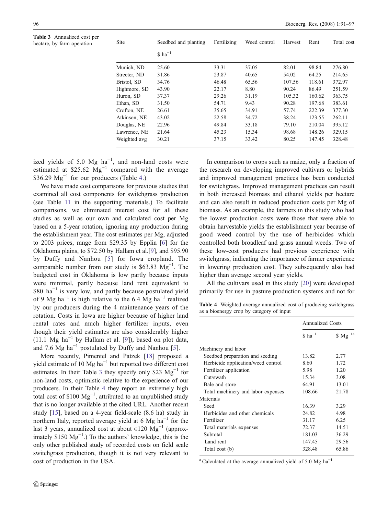<span id="page-6-0"></span>Table 3 Annualized cost per hectare, by farm operation

| <b>Site</b>  | Seedbed and planting        | Fertilizing | Weed control | Harvest | Rent   | Total cost |
|--------------|-----------------------------|-------------|--------------|---------|--------|------------|
|              | $\text{S}$ ha <sup>-1</sup> |             |              |         |        |            |
| Munich, ND   | 25.60                       | 33.31       | 37.05        | 82.01   | 98.84  | 276.80     |
| Streeter, ND | 31.86                       | 23.87       | 40.65        | 54.02   | 64.25  | 214.65     |
| Bristol, SD  | 34.76                       | 46.48       | 65.56        | 107.56  | 118.61 | 372.97     |
| Highmore, SD | 43.90                       | 22.17       | 8.80         | 90.24   | 86.49  | 251.59     |
| Huron, SD    | 37.37                       | 29.26       | 31.19        | 105.32  | 160.62 | 363.75     |
| Ethan, SD    | 31.50                       | 54.71       | 9.43         | 90.28   | 197.68 | 383.61     |
| Crofton, NE  | 26.61                       | 35.65       | 34.91        | 57.74   | 222.39 | 377.30     |
| Atkinson, NE | 43.02                       | 22.58       | 34.72        | 38.24   | 123.55 | 262.11     |
| Douglas, NE  | 22.96                       | 49.84       | 33.18        | 79.10   | 210.04 | 395.12     |
| Lawrence, NE | 21.64                       | 45.23       | 15.34        | 98.68   | 148.26 | 329.15     |
| Weighted avg | 30.21                       | 37.15       | 33.42        | 80.25   | 147.45 | 328.48     |

ized yields of 5.0  $Mg$  ha<sup>-1</sup>, and non-land costs were estimated at \$25.62  $Mg^{-1}$  compared with the average \$36.29  $Mg^{-1}$  for our producers (Table 4.)

We have made cost comparisons for previous studies that examined all cost components for switchgrass production (see Table 11 in the supporting materials.) To facilitate comparisons, we eliminated interest cost for all these studies as well as our own and calculated cost per Mg based on a 5-year rotation, ignoring any production during the establishment year. The cost estimates per Mg, adjusted to 2003 prices, range from \$29.35 by Epplin [[6\]](#page-7-0) for the Oklahoma plains, to \$72.50 by Hallam et al.[\[9](#page-7-0)], and \$95.90 by Duffy and Nanhou [[5](#page-7-0)] for Iowa cropland. The comparable number from our study is \$63.83  $Mg^{-1}$ . The budgeted cost in Oklahoma is low partly because inputs were minimal, partly because land rent equivalent to \$80 ha−<sup>1</sup> is very low, and partly because postulated yield of 9 Mg ha<sup> $-1$ </sup> is high relative to the 6.4 Mg ha<sup> $-1$ </sup> realized by our producers during the 4 maintenance years of the rotation. Costs in Iowa are higher because of higher land rental rates and much higher fertilizer inputs, even though their yield estimates are also considerably higher (11.1 Mg ha<sup>-1</sup> by Hallam et al. [\[9\]](#page-7-0)), based on plot data, and 7.6 Mg ha<sup> $-1$ </sup> postulated by Duffy and Nanhou [[5\]](#page-7-0).

More recently, Pimentel and Patzek [\[18](#page-7-0)] proposed a yield estimate of 10 Mg ha−<sup>1</sup> but reported two different cost estimates. In their Table 3 they specify only \$23  $Mg^{-1}$  for non-land costs, optimistic relative to the experience of our producers. In their Table 4 they report an extremely high total cost of  $$100 \text{ Mg}^{-1}$$ , attributed to an unpublished study that is no longer available at the cited URL. Another recent study [[15](#page-7-0)], based on a 4-year field-scale (8.6 ha) study in northern Italy, reported average yield at 6 Mg  $ha^{-1}$  for the last 3 years, annualized cost at about ∈120  $Mg^{-1}$  (approximately  $$150 \text{ Mg}^{-1}$ .) To the authors' knowledge, this is the only other published study of recorded costs on field scale switchgrass production, though it is not very relevant to cost of production in the USA.

In comparison to crops such as maize, only a fraction of the research on developing improved cultivars or hybrids and improved management practices has been conducted for switchgrass. Improved management practices can result in both increased biomass and ethanol yields per hectare and can also result in reduced production costs per Mg of biomass. As an example, the farmers in this study who had the lowest production costs were those that were able to obtain harvestable yields the establishment year because of good weed control by the use of herbicides which controlled both broadleaf and grass annual weeds. Two of these low-cost producers had previous experience with switchgrass, indicating the importance of farmer experience in lowering production cost. They subsequently also had higher than average second year yields.

All the cultivars used in this study [\[20](#page-7-0)] were developed primarily for use in pasture production systems and not for

Table 4 Weighted average annualized cost of producing switchgrass as a bioenergy crop by category of input

| Annualized Costs     |              |
|----------------------|--------------|
| $$$ ha <sup>-1</sup> | $$Mg^{-1a}$$ |
|                      |              |
| 13.82                | 2.77         |
| 8.60                 | 1.72         |
| 5.98                 | 1.20         |
| 15.34                | 3.08         |
| 64.91                | 13.01        |
| 108.66               | 21.78        |
|                      |              |
| 16.39                | 3.29         |
| 24.82                | 4.98         |
| 31.17                | 6.25         |
| 72.37                | 14.51        |
| 181.03               | 36.29        |
| 147.45               | 29.56        |
| 328.48               | 65.86        |
|                      |              |

<sup>a</sup> Calculated at the average annualized yield of 5.0 Mg ha<sup>-1</sup>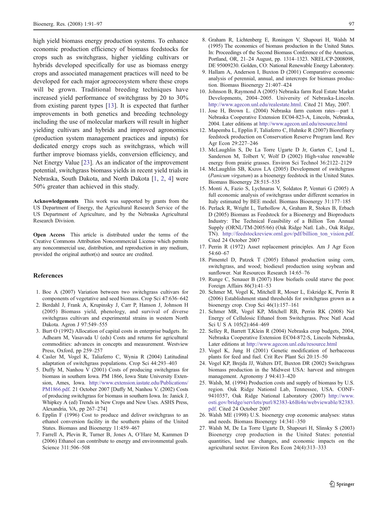<span id="page-7-0"></span>high yield biomass energy production systems. To enhance economic production efficiency of biomass feedstocks for crops such as switchgrass, higher yielding cultivars or hybrids developed specifically for use as biomass energy crops and associated management practices will need to be developed for each major agroecosystem where these crops will be grown. Traditional breeding techniques have increased yield performance of switchgrass by 20 to 30% from existing parent types [13]. It is expected that further improvements in both genetics and breeding technology including the use of molecular markers will result in higher yielding cultivars and hybrids and improved agronomics (production system management practices and inputs) for dedicated energy crops such as switchgrass, which will further improve biomass yields, conversion efficiency, and Net Energy Value [23]. As an indicator of the improvement potential, switchgrass biomass yields in recent yield trials in Nebraska, South Dakota, and North Dakota [1, 2, 4] were 50% greater than achieved in this study.

Acknowledgements This work was supported by grants from the US Department of Energy, the Agricultural Research Service of the US Department of Agriculture, and by the Nebraska Agricultural Research Division.

Open Access This article is distributed under the terms of the Creative Commons Attribution Noncommercial License which permits any noncommercial use, distribution, and reproduction in any medium, provided the original author(s) and source are credited.

#### **References**

- 1. Boe A (2007) Variation between two switchgrass cultivars for components of vegetative and seed biomass. Crop Sci 47:636–642
- 2. Berdahl J, Frank A, Krupinsky J, Carr P, Hanson J, Johnson H (2005) Biomass yield, phenology, and survival of diverse switchgrass cultivars and experimental strains in western North Dakota. Agron J 97:549–555
- 3. Burt O (1992) Allocation of capital costs in enterprise budgets. In: Adhearn M, Vasavada U (eds) Costs and returns for agricultural commodities: advances in concepts and measurement. Westview Press, Oxford, pp 259–257
- 4. Casler M, Vogel K, Taliaferro C, Wynia R (2004) Latitudinal adaptation of switchgrass populations. Crop Sci 44:293–403
- 5. Duffy M, Nanhou V (2001) Costs of producing switchgrass for biomass in southern Iowa. PM 1866, Iowa State University Extension, Ames, Iowa. [http://www.extension.iastate.edu/Publications/](http://www.extension.iastate.edu/Publications/PM1866.pdf) [PM1866.pdf](http://www.extension.iastate.edu/Publications/PM1866.pdf). 21 October 2007 [Duffy M, Nanhou V. (2002) Costs of producing switchgrass for biomass in southern Iowa. In: Janick J, Whipkey A (ed) Trends in New Crops and New Uses. ASHS Press, Alexandria, VA, pp 267–274]
- 6. Epplin F (1996) Cost to produce and deliver switchgrass to an ethanol conversion facility in the southern plains of the United States. Biomass and Bioenergy 11:459–467
- 7. Farrell A, Plevin R, Turner B, Jones A, O'Hare M, Kammen D (2006) Ethanol can contribute to energy and environmental goals. Science 311:506–508
- 8. Graham R, Lichtenberg E, Roningen V, Shapouri H, Walsh M (1995) The economics of biomass production in the United States. In: Proceedings of the Second Biomass Conference of the Americas, Portland, OR, 21–24 August, pp. 1314–1323. NREL/CP-2008098, DE 95009230. Golden, CO: National Renewable Energy Laboratory.
- 9. Hallam A, Anderson I, Buxton D (2001) Comparative economic analysis of perennial, annual, and intercrops for biomass production. Biomass Bioenergy 21:407–424
- 10. Johnson B, Raymond A (2005) Nebraska farm Real Estate Market Developments, 2004–2005. University of Nebraska-Lincoln. <http://www.agecon.unl.edu/realestate.html>. Cited 21 May, 2007.
- 11. Jose H, Brown L. (2004) Nebraska farm custom rates—part I. Nebraska Cooperative Extension EC04-823-A, Lincoln, Nebraska, 2004. Later editions at <http://www.agecon.unl.edu/resource.html>
- 12. Mapemba L, Epplin F, Taliaferro C, Huhnke R (2007) Biorefinery feedstock production on Conservation Reserve Program land. Rev Agr Econ 29:227–246
- 13. McLaughlin S, De La Torre Ugarte D Jr, Garten C, Lynd L, Sanderson M, Tolbert V, Wolf D (2002) High-value renewable energy from prairie grasses. Environ Sci Technol 36:2122–2129
- 14. McLaughlin SB, Kszos LA (2005) Development of switchgrass (Panicum virgatum) as a bioenergy feedstock in the United States. Biomass Bioenergy 28:515–535
- 15. Monti A, Fazio S, Lychnaras V, Soldatos P, Venturi G (2005) A full economic analysis of switchgrass under different scenarios in Italy estimated by BEE model. Biomass Bioenergy 31:177–185
- 16. Perlack R, Wright L, Turhollow A, Graham R, Stokes B, Erbach D (2005) Biomass as Feedstock for a Bioenergy and Bioproducts Industry: The Technical Feasibility of a Billion Ton Annual Supply (ORNL/TM-2005/66) (Oak Ridge Natl. Lab., Oak Ridge, TN). [http://feedstockreview.ornl.gov/pdf/billion\\_ton\\_vision.pdf](http://feedstockreview.ornl.gov/pdf/billion_ton_vision.pdf). Cited 24 October 2007
- 17. Perrin R (1972) Asset replacement principles. Am J Agr Econ 54:60–67
- 18. Pimentel D, Patzek T (2005) Ethanol production using corn, switchgrass, and wood; biodiesel production using soybean and sunflower. Nat Resources Research 14:65–76
- 19. Runge C, Senauer B (2007) How biofuels could starve the poor. Foreign Affairs 86(3):41–53
- 20. Schmer M, Vogel K, Mitchell R, Moser L, Eskridge K, Perrin R (2006) Establishment stand thresholds for switchgrass grown as a bioenergy crop. Crop Sci 46(1):157–161
- 21. Schmer MR, Vogel KP, Mitchell RB, Perrin RK (2008) Net Energy of Cellulosic Ethanol from Switchgrass. Proc Natl Acad Sci U S A 105(2):464–469
- 22. Selley R, Barrett T,Klein R (2004) Nebraska crop budgets, 2004, Nebraska Cooperative Extension EC04-872-S, Lincoln Nebraska, Later editions at <http://www.agecon.unl.edu/resource.html>
- 23. Vogel K, Jung H (2001) Genetic modification of herbaceous plants for feed and fuel. Crit Rev Plant Sci 20:15–50
- 24. Vogel KP, Brejda JJ, Walters DT, Buxton DR (2002) Switchgrass biomass production in the Midwest USA: harvest and nitrogen management. Agronomy J 94:413–420
- 25. Walsh, M. (1994) Production costs and supply of biomass by U.S. region. Oak Ridge Nationsl Lab, Tennessee, USA. CONF-9410357, Oak Ridge National Laboratory (2007) [http://www.](http://www.osti.gov/bridge/servlets/purl/82383-k6Bi4n/webviewable/82383.pdf) [osti.gov/bridge/servlets/purl/82383-k6Bi4n/webviewable/82383.](http://www.osti.gov/bridge/servlets/purl/82383-k6Bi4n/webviewable/82383.pdf) [pdf](http://www.osti.gov/bridge/servlets/purl/82383-k6Bi4n/webviewable/82383.pdf). Cited 24 October 2007
- 26. Walsh ME (1998) U.S. bioenergy crop economic analyses: status and needs. Biomass Bioenergy 14:341–350
- 27. Walsh M, De La Torre Ugarte D, Shapouri H, Slinsky S (2003) Bioenergy crop production in the United States: potential quantities, land use changes, and economic impacts on the agricultural sector. Environ Res Econ 24(4):313–333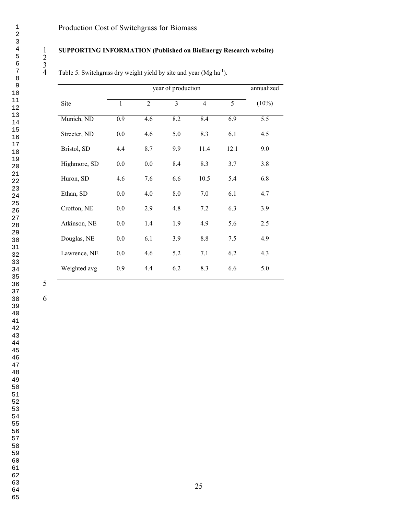### **SUPPORTING INFORMATION (Published on BioEnergy Research website)**

4 Table 5. Switchgrass dry weight yield by site and year (Mg ha<sup>-1</sup>).

|              |              | annualized     |     |                |      |          |
|--------------|--------------|----------------|-----|----------------|------|----------|
| Site         | $\mathbf{1}$ | $\overline{2}$ | 3   | $\overline{4}$ | 5    | $(10\%)$ |
| Munich, ND   | 0.9          | 4.6            | 8.2 | 8.4            | 6.9  | 5.5      |
| Streeter, ND | 0.0          | 4.6            | 5.0 | 8.3            | 6.1  | 4.5      |
| Bristol, SD  | 4.4          | 8.7            | 9.9 | 11.4           | 12.1 | 9.0      |
| Highmore, SD | 0.0          | $0.0\,$        | 8.4 | 8.3            | 3.7  | 3.8      |
| Huron, SD    | 4.6          | 7.6            | 6.6 | 10.5           | 5.4  | 6.8      |
| Ethan, SD    | 0.0          | 4.0            | 8.0 | 7.0            | 6.1  | 4.7      |
| Crofton, NE  | 0.0          | 2.9            | 4.8 | 7.2            | 6.3  | 3.9      |
| Atkinson, NE | 0.0          | 1.4            | 1.9 | 4.9            | 5.6  | 2.5      |
| Douglas, NE  | 0.0          | 6.1            | 3.9 | 8.8            | 7.5  | 4.9      |
| Lawrence, NE | $0.0\,$      | 4.6            | 5.2 | 7.1            | 6.2  | 4.3      |
| Weighted avg | 0.9          | 4.4            | 6.2 | 8.3            | 6.6  | 5.0      |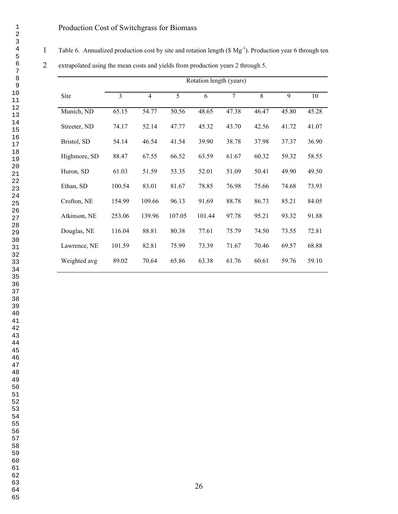1 Table 6. Annualized production cost by site and rotation length (\$ Mg<sup>-1</sup>). Production year 6 through ten

|              | Rotation length (years) |                |        |        |                |       |       |       |
|--------------|-------------------------|----------------|--------|--------|----------------|-------|-------|-------|
| Site         | 3                       | $\overline{4}$ | 5      | 6      | $\overline{7}$ | 8     | 9     | 10    |
| Munich, ND   | 65.15                   | 54.77          | 50.56  | 48.65  | 47.38          | 46.47 | 45.80 | 45.28 |
| Streeter, ND | 74.17                   | 52.14          | 47.77  | 45.32  | 43.70          | 42.56 | 41.72 | 41.07 |
| Bristol, SD  | 54.14                   | 46.54          | 41.54  | 39.90  | 38.78          | 37.98 | 37.37 | 36.90 |
| Highmore, SD | 88.47                   | 67.55          | 66.52  | 63.59  | 61.67          | 60.32 | 59.32 | 58.55 |
| Huron, SD    | 61.03                   | 51.59          | 53.35  | 52.01  | 51.09          | 50.41 | 49.90 | 49.50 |
| Ethan, SD    | 100.54                  | 83.01          | 81.67  | 78.85  | 76.98          | 75.66 | 74.68 | 73.93 |
| Crofton, NE  | 154.99                  | 109.66         | 96.13  | 91.69  | 88.78          | 86.73 | 85.21 | 84.05 |
| Atkinson, NE | 253.06                  | 139.96         | 107.05 | 101.44 | 97.78          | 95.21 | 93.32 | 91.88 |
| Douglas, NE  | 116.04                  | 88.81          | 80.38  | 77.61  | 75.79          | 74.50 | 73.55 | 72.81 |
| Lawrence, NE | 101.59                  | 82.81          | 75.99  | 73.39  | 71.67          | 70.46 | 69.57 | 68.88 |
| Weighted avg | 89.02                   | 70.64          | 65.86  | 63.38  | 61.76          | 60.61 | 59.76 | 59.10 |

extrapolated using the mean costs and yields from production years 2 through 5.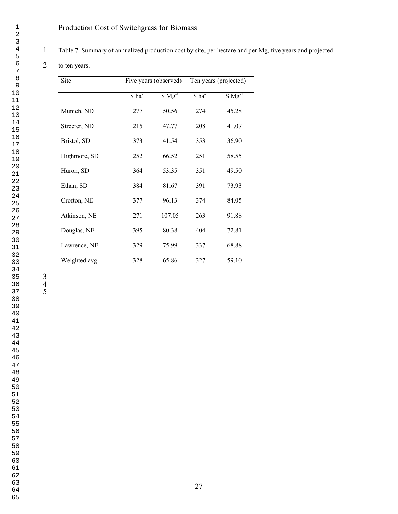Table 7. Summary of annualized production cost by site, per hectare and per Mg, five years and projected

to ten years .

| Site         |                      | Five years (observed) |           | Ten years (projected) |
|--------------|----------------------|-----------------------|-----------|-----------------------|
|              | $$$ ha <sup>-1</sup> | $$Mg^{-1}$$           | $ha^{-1}$ | $$Mg^{-1}$$           |
| Munich, ND   | 277                  | 50.56                 | 274       | 45.28                 |
| Streeter, ND | 215                  | 47.77                 | 208       | 41.07                 |
| Bristol, SD  | 373                  | 41.54                 | 353       | 36.90                 |
| Highmore, SD | 252                  | 66.52                 | 251       | 58.55                 |
| Huron, SD    | 364                  | 53.35                 | 351       | 49.50                 |
| Ethan, SD    | 384                  | 81.67                 | 391       | 73.93                 |
| Crofton, NE  | 377                  | 96.13                 | 374       | 84.05                 |
| Atkinson, NE | 271                  | 107.05                | 263       | 91.88                 |
| Douglas, NE  | 395                  | 80.38                 | 404       | 72.81                 |
| Lawrence, NE | 329                  | 75.99                 | 337       | 68.88                 |
| Weighted avg | 328                  | 65.86                 | 327       | 59.10                 |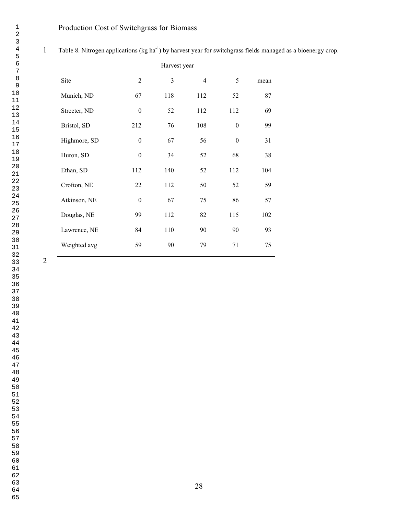|              |                  | Harvest year |                |                  |      |
|--------------|------------------|--------------|----------------|------------------|------|
| Site         | $\overline{2}$   | 3            | $\overline{4}$ | 5                | mean |
| Munich, ND   | 67               | 118          | 112            | 52               | 87   |
| Streeter, ND | $\theta$         | 52           | 112            | 112              | 69   |
| Bristol, SD  | 212              | 76           | 108            | $\boldsymbol{0}$ | 99   |
| Highmore, SD | $\mathbf{0}$     | 67           | 56             | $\boldsymbol{0}$ | 31   |
| Huron, SD    | $\boldsymbol{0}$ | 34           | 52             | 68               | 38   |
| Ethan, SD    | 112              | 140          | 52             | 112              | 104  |
| Crofton, NE  | 22               | 112          | 50             | 52               | 59   |
| Atkinson, NE | $\theta$         | 67           | 75             | 86               | 57   |
| Douglas, NE  | 99               | 112          | 82             | 115              | 102  |
| Lawrence, NE | 84               | 110          | 90             | 90               | 93   |
| Weighted avg | 59               | 90           | 79             | 71               | 75   |

1 Table 8. Nitrogen applications (kg ha<sup>-1</sup>) by harvest year for switchgrass fields managed as a bioenergy crop.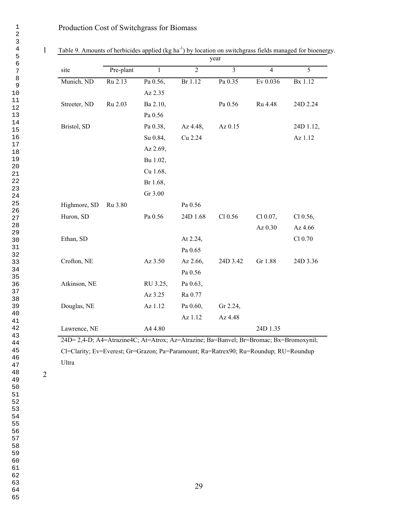|              |           |          |                | year           |                |                |
|--------------|-----------|----------|----------------|----------------|----------------|----------------|
| site         | Pre-plant | 1        | $\overline{2}$ | $\overline{3}$ | $\overline{4}$ | $\overline{5}$ |
| Munich, ND   | Ru 2.13   | Pa 0.56, | Br 1.12        | Pa 0.35        | Ev 0.036       | Bx 1.12        |
|              |           | Az 2.35  |                |                |                |                |
| Streeter, ND | Ru 2.03   | Ba 2.10, |                | Pa 0.56        | Ru 4.48        | 24D 2.24       |
|              |           | Pa 0.56  |                |                |                |                |
| Bristol, SD  |           | Pa 0.38, | Az 4.48,       | Az 0.15        |                | 24D 1.12,      |
|              |           | Su 0.84, | Cu 2.24        |                |                | Az 1.12        |
|              |           | Az 2.69, |                |                |                |                |
|              |           | Bu 1.02, |                |                |                |                |
|              |           | Cu 1.68, |                |                |                |                |
|              |           | Br 1.68, |                |                |                |                |
|              |           | Gr 3.00  |                |                |                |                |
| Highmore, SD | Ru 3.80   |          | Pa 0.56        |                |                |                |
| Huron, SD    |           | Pa 0.56  | 24D 1.68       | $Cl$ 0.56      | Cl 0.07,       | $Cl$ 0.56,     |
|              |           |          |                |                | Az 0.30        | Az 4.66        |
| Ethan, SD    |           |          | At 2.24,       |                |                | Cl 0.70        |
|              |           |          | Pa 0.65        |                |                |                |
| Crofton, NE  |           | Az 3.50  | Az 2.66,       | 24D 3.42       | Gr 1.88        | 24D 3.36       |
|              |           |          | Pa 0.56        |                |                |                |
| Atkinson, NE |           | RU 3.25, | Pa 0.63,       |                |                |                |
|              |           | Az 3.25  | Ra 0.77        |                |                |                |
| Douglas, NE  |           | Az 1.12  | Pa 0.60,       | Gr 2.24,       |                |                |
|              |           |          | Az 1.12        | Az 4.48        |                |                |
| Lawrence, NE |           | A44.80   |                |                | 24D 1.35       |                |

1 Table 9. Amounts of herbicides applied (kg ha<sup>-1</sup>) by location on switchgrass fields managed for bioenergy.

24D= 2,4-D; A4=Atrazine4C; At=Atrox; Az=Atrazine; Ba=Banvel; Br=Bromac; Bx=Bromoxynil; Cl=Clarity; Ev=Everest; Gr=Grazon; Pa=Paramount; Ra=Ratrex90; Ru=Roundup; RU=Roundup Ultra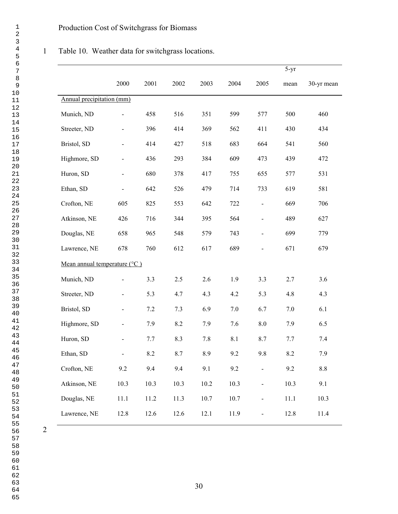### Table 10. Weather data for switchgrass locations.

|                                       |                          |         |      |          |      |                          | $5-yr$  |            |
|---------------------------------------|--------------------------|---------|------|----------|------|--------------------------|---------|------------|
|                                       | 2000                     | 2001    | 2002 | 2003     | 2004 | 2005                     | mean    | 30-yr mean |
| Annual precipitation (mm)             |                          |         |      |          |      |                          |         |            |
| Munich, ND                            | $\overline{\phantom{0}}$ | 458     | 516  | 351      | 599  | 577                      | 500     | 460        |
| Streeter, ND                          |                          | 396     | 414  | 369      | 562  | 411                      | 430     | 434        |
| Bristol, SD                           |                          | 414     | 427  | 518      | 683  | 664                      | 541     | 560        |
| Highmore, SD                          |                          | 436     | 293  | 384      | 609  | 473                      | 439     | 472        |
| Huron, SD                             |                          | 680     | 378  | 417      | 755  | 655                      | 577     | 531        |
| Ethan, SD                             |                          | 642     | 526  | 479      | 714  | 733                      | 619     | 581        |
| Crofton, NE                           | 605                      | 825     | 553  | 642      | 722  | $\frac{1}{2}$            | 669     | 706        |
| Atkinson, NE                          | 426                      | 716     | 344  | 395      | 564  | $\frac{1}{2}$            | 489     | 627        |
| Douglas, NE                           | 658                      | 965     | 548  | 579      | 743  | $\overline{a}$           | 699     | 779        |
| Lawrence, NE                          | 678                      | 760     | 612  | 617      | 689  |                          | 671     | 679        |
| Mean annual temperature $(^{\circ}C)$ |                          |         |      |          |      |                          |         |            |
| Munich, ND                            |                          | 3.3     | 2.5  | 2.6      | 1.9  | 3.3                      | 2.7     | 3.6        |
| Streeter, ND                          |                          | 5.3     | 4.7  | 4.3      | 4.2  | 5.3                      | 4.8     | 4.3        |
| Bristol, SD                           |                          | 7.2     | 7.3  | 6.9      | 7.0  | 6.7                      | $7.0\,$ | 6.1        |
| Highmore, SD                          |                          | 7.9     | 8.2  | 7.9      | 7.6  | $8.0\,$                  | 7.9     | 6.5        |
| Huron, SD                             |                          | 7.7     | 8.3  | $7.8\,$  | 8.1  | 8.7                      | 7.7     | 7.4        |
| Ethan, SD                             | $\blacksquare$           | $8.2\,$ | 8.7  | 8.9      | 9.2  | 9.8                      | 8.2     | 7.9        |
| Crofton, NE                           | 9.2                      | 9.4     | 9.4  | 9.1      | 9.2  | $\overline{\phantom{0}}$ | 9.2     | 8.8        |
| Atkinson, NE                          | 10.3                     | 10.3    | 10.3 | $10.2\,$ | 10.3 | ÷,                       | 10.3    | 9.1        |
| Douglas, NE                           | $11.1\,$                 | 11.2    | 11.3 | 10.7     | 10.7 | $\blacksquare$           | 11.1    | 10.3       |
| Lawrence, NE                          | 12.8                     | 12.6    | 12.6 | 12.1     | 11.9 | -                        | 12.8    | 11.4       |
|                                       |                          |         |      |          |      |                          |         |            |